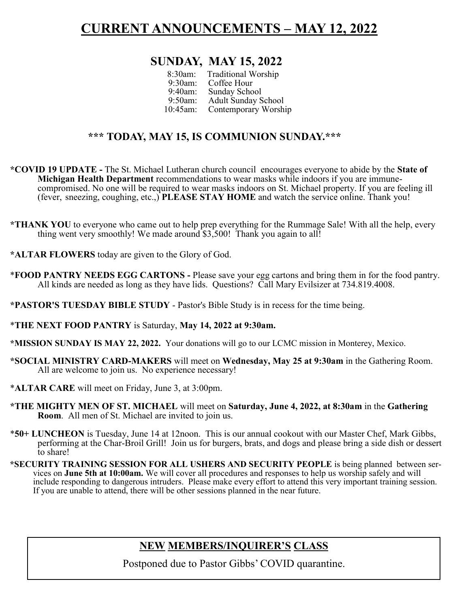### **CURRENT ANNOUNCEMENTS – MAY 12, 2022**

#### **SUNDAY, MAY 15, 2022**

| $8:30$ am:<br>$9:30$ am:<br>$9:40$ am: | <b>Traditional Worship</b><br>Coffee Hour<br><b>Sunday School</b> |  |
|----------------------------------------|-------------------------------------------------------------------|--|
| $9:50$ am:                             | <b>Adult Sunday School</b>                                        |  |
| $10:45$ am:                            | <b>Contemporary Worship</b>                                       |  |

#### **\*\*\* TODAY, MAY 15, IS COMMUNION SUNDAY.\*\*\***

- **\*COVID 19 UPDATE -** The St. Michael Lutheran church council encourages everyone to abide by the **State of Michigan Health Department** recommendations to wear masks while indoors if you are immunecompromised. No one will be required to wear masks indoors on St. Michael property. If you are feeling ill (fever, sneezing, coughing, etc.,) **PLEASE STAY HOME** and watch the service online. Thank you!
- **\*THANK YOU** to everyone who came out to help prep everything for the Rummage Sale! With all the help, every thing went very smoothly! We made around \$3,500! Thank you again to all!
- **\*ALTAR FLOWERS** today are given to the Glory of God.
- \***FOOD PANTRY NEEDS EGG CARTONS -** Please save your egg cartons and bring them in for the food pantry. All kinds are needed as long as they have lids. Questions? Call Mary Evilsizer at 734.819.4008.
- **\*PASTOR'S TUESDAY BIBLE STUDY** Pastor's Bible Study is in recess for the time being.
- \***THE NEXT FOOD PANTRY** is Saturday, **May 14, 2022 at 9:30am.**
- **\*MISSION SUNDAY IS MAY 22, 2022.** Your donations will go to our LCMC mission in Monterey, Mexico.
- **\*SOCIAL MINISTRY CARD-MAKERS** will meet on **Wednesday, May 25 at 9:30am** in the Gathering Room. All are welcome to join us. No experience necessary!
- \***ALTAR CARE** will meet on Friday, June 3, at 3:00pm.
- **\*THE MIGHTY MEN OF ST. MICHAEL** will meet on **Saturday, June 4, 2022, at 8:30am** in the **Gathering Room**. All men of St. Michael are invited to join us.
- \***50+ LUNCHEON** is Tuesday, June 14 at 12noon. This is our annual cookout with our Master Chef, Mark Gibbs, performing at the Char-Broil Grill! Join us for burgers, brats, and dogs and please bring a side dish or dessert to share!
- **\*SECURITY TRAINING SESSION FOR ALL USHERS AND SECURITY PEOPLE** is being planned between services on **June 5th at 10:00am.** We will cover all procedures and responses to help us worship safely and will include responding to dangerous intruders. Please make every effort to attend this very important training session. If you are unable to attend, there will be other sessions planned in the near future.

### **NEW MEMBERS/INQUIRER'S CLASS**

Postponed due to Pastor Gibbs' COVID quarantine.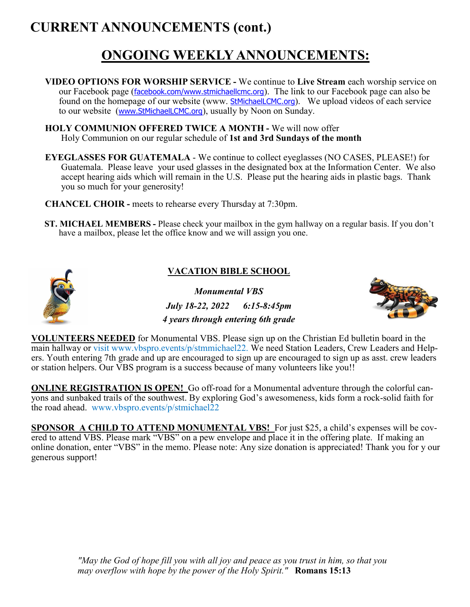## **CURRENT ANNOUNCEMENTS (cont.)**

## **ONGOING WEEKLY ANNOUNCEMENTS:**

- **VIDEO OPTIONS FOR WORSHIP SERVICE -** We continue to **Live Stream** each worship service on our Facebook page (*[facebook.com/](http://facebook.com/)[www.stmichaellcmc.org](https://mail.bex.net/app/www.stmichaellcmc.org)*). The link to our Facebook page can also be found on the homepage of our website (www. [StMichaelLCMC.org](http://stmichaellcmc.org/)). We upload videos of each service to our website ([www.StMichaelLCMC.org](https://mail.bex.net/app/www.StMichaelLCMC.org)), usually by Noon on Sunday.
- **HOLY COMMUNION OFFERED TWICE A MONTH -** We will now offer Holy Communion on our regular schedule of **1st and 3rd Sundays of the month**
- **EYEGLASSES FOR GUATEMALA**  We continue to collect eyeglasses (NO CASES, PLEASE!) for Guatemala. Please leave your used glasses in the designated box at the Information Center. We also accept hearing aids which will remain in the U.S. Please put the hearing aids in plastic bags. Thank you so much for your generosity!
- **CHANCEL CHOIR -** meets to rehearse every Thursday at 7:30pm.
- **ST. MICHAEL MEMBERS -** Please check your mailbox in the gym hallway on a regular basis. If you don't have a mailbox, please let the office know and we will assign you one.



#### **VACATION BIBLE SCHOOL**

*Monumental VBS July 18-22, 2022 6:15-8:45pm 4 years through entering 6th grade*



**VOLUNTEERS NEEDED** for Monumental VBS. Please sign up on the Christian Ed bulletin board in the main hallway or visit www.vbspro.events/p/stmmichael22. We need Station Leaders, Crew Leaders and Helpers. Youth entering 7th grade and up are encouraged to sign up are encouraged to sign up as asst. crew leaders or station helpers. Our VBS program is a success because of many volunteers like you!!

**ONLINE REGISTRATION IS OPEN!** Go off-road for a Monumental adventure through the colorful canyons and sunbaked trails of the southwest. By exploring God's awesomeness, kids form a rock-solid faith for the road ahead. www.vbspro.events/p/stmichael22

**SPONSOR A CHILD TO ATTEND MONUMENTAL VBS!** For just \$25, a child's expenses will be covered to attend VBS. Please mark "VBS" on a pew envelope and place it in the offering plate. If making an online donation, enter "VBS" in the memo. Please note: Any size donation is appreciated! Thank you for y our generous support!